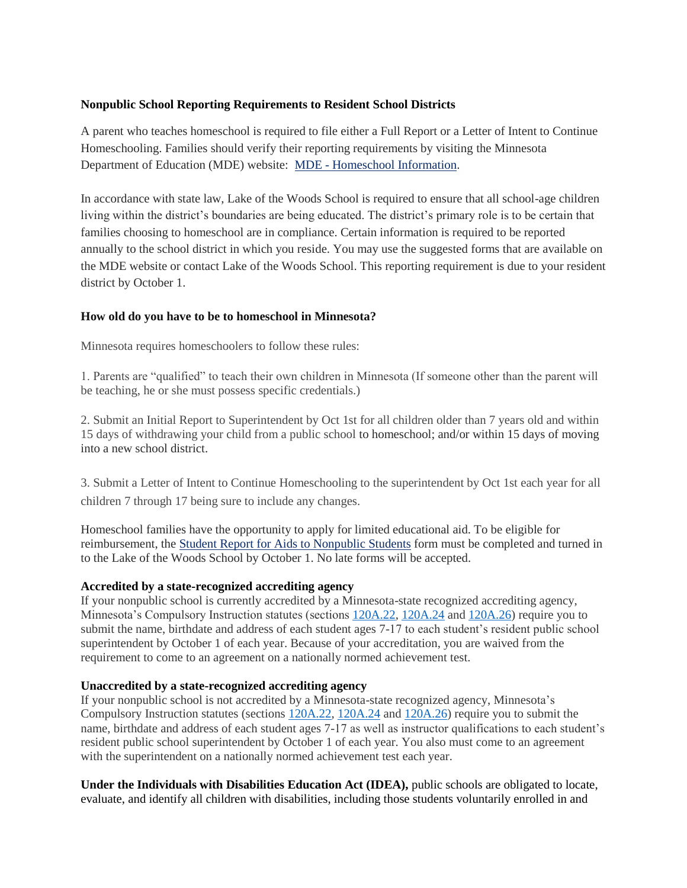## **Nonpublic School Reporting Requirements to Resident School Districts**

A parent who teaches homeschool is required to file either a Full Report or a Letter of Intent to Continue Homeschooling. Families should verify their reporting requirements by visiting the Minnesota Department of Education (MDE) website: MDE - [Homeschool Information.](http://education.state.mn.us/MDE/fam/nphs/home/)

In accordance with state law, Lake of the Woods School is required to ensure that all school-age children living within the district's boundaries are being educated. The district's primary role is to be certain that families choosing to homeschool are in compliance. Certain information is required to be reported annually to the school district in which you reside. You may use the suggested forms that are available on the MDE website or contact Lake of the Woods School. This reporting requirement is due to your resident district by October 1.

## **How old do you have to be to homeschool in Minnesota?**

Minnesota requires homeschoolers to follow these rules:

1. Parents are "qualified" to teach their own children in Minnesota (If someone other than the parent will be teaching, he or she must possess specific credentials.)

2. Submit an Initial Report to Superintendent by Oct 1st for all children older than 7 years old and within 15 days of withdrawing your child from a public school to homeschool; and/or within 15 days of moving into a new school district.

3. Submit a Letter of Intent to Continue Homeschooling to the superintendent by Oct 1st each year for all children 7 through 17 being sure to include any changes.

Homeschool families have the opportunity to apply for limited educational aid. To be eligible for reimbursement, the [Student Report for Aids to Nonpublic Students](http://www.hastings.k12.mn.us/UserFiles/Servers/Server_92158/File/2019-20%20Student%20Report%20for%20Aids%20to%20Nonpublic%20Students.pdf) form must be completed and turned in to the Lake of the Woods School by October 1. No late forms will be accepted.

## **Accredited by a state-recognized accrediting agency**

If your nonpublic school is currently accredited by a Minnesota-state recognized accrediting agency, Minnesota's Compulsory Instruction statutes (sections [120A.22,](https://www.revisor.mn.gov/statutes/cite/120A.22) [120A.24](https://www.revisor.mn.gov/statutes/cite/120A.24) an[d 120A.26\)](https://www.revisor.mn.gov/statutes/cite/120A.26) require you to submit the name, birthdate and address of each student ages 7-17 to each student's resident public school superintendent by October 1 of each year. Because of your accreditation, you are waived from the requirement to come to an agreement on a nationally normed achievement test.

## **Unaccredited by a state-recognized accrediting agency**

If your nonpublic school is not accredited by a Minnesota-state recognized agency, Minnesota's Compulsory Instruction statutes (sections [120A.22,](https://www.revisor.mn.gov/statutes/cite/120A.22) [120A.24](https://www.revisor.mn.gov/statutes/cite/120A.24) and [120A.26\)](https://www.revisor.mn.gov/statutes/cite/120A.26) require you to submit the name, birthdate and address of each student ages 7-17 as well as instructor qualifications to each student's resident public school superintendent by October 1 of each year. You also must come to an agreement with the superintendent on a nationally normed achievement test each year.

**Under the Individuals with Disabilities Education Act (IDEA),** public schools are obligated to locate, evaluate, and identify all children with disabilities, including those students voluntarily enrolled in and